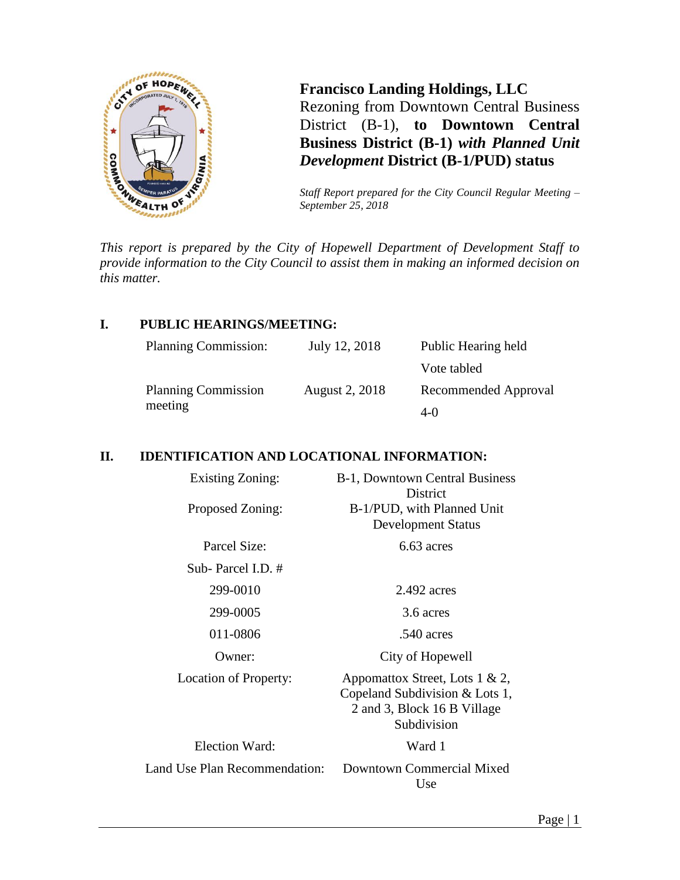

**Francisco Landing Holdings, LLC** Rezoning from Downtown Central Business District (B-1), **to Downtown Central Business District (B-1)** *with Planned Unit Development* **District (B-1/PUD) status**

*Staff Report prepared for the City Council Regular Meeting – September 25, 2018*

*This report is prepared by the City of Hopewell Department of Development Staff to provide information to the City Council to assist them in making an informed decision on this matter.*

# **I. PUBLIC HEARINGS/MEETING:**

| <b>Planning Commission:</b>           | July 12, 2018         | Public Hearing held  |
|---------------------------------------|-----------------------|----------------------|
|                                       |                       | Vote tabled          |
| <b>Planning Commission</b><br>meeting | <b>August 2, 2018</b> | Recommended Approval |
|                                       |                       | $4-()$               |

## **II. IDENTIFICATION AND LOCATIONAL INFORMATION:**

| <b>Existing Zoning:</b><br>Proposed Zoning: | B-1, Downtown Central Business<br>District<br>B-1/PUD, with Planned Unit<br><b>Development Status</b>              |
|---------------------------------------------|--------------------------------------------------------------------------------------------------------------------|
| Parcel Size:                                | $6.63$ acres                                                                                                       |
| Sub-Parcel I.D. $#$                         |                                                                                                                    |
| 299-0010                                    | 2.492 acres                                                                                                        |
| 299-0005                                    | 3.6 acres                                                                                                          |
| 011-0806                                    | .540 acres                                                                                                         |
| Owner:                                      | City of Hopewell                                                                                                   |
| Location of Property:                       | Appomattox Street, Lots $1 \& 2$ ,<br>Copeland Subdivision & Lots 1,<br>2 and 3, Block 16 B Village<br>Subdivision |
| Election Ward:                              | Ward 1                                                                                                             |
| Land Use Plan Recommendation:               | Downtown Commercial Mixed<br>Use                                                                                   |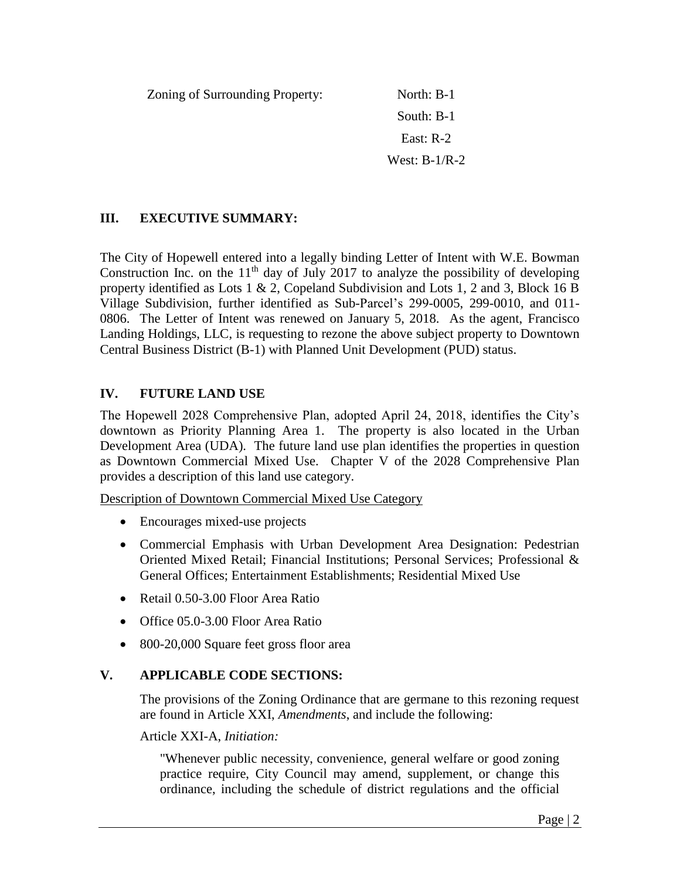Zoning of Surrounding Property: North: B-1

South: B-1 East: R-2 West: B-1/R-2

# **III. EXECUTIVE SUMMARY:**

The City of Hopewell entered into a legally binding Letter of Intent with W.E. Bowman Construction Inc. on the  $11<sup>th</sup>$  day of July 2017 to analyze the possibility of developing property identified as Lots 1 & 2, Copeland Subdivision and Lots 1, 2 and 3, Block 16 B Village Subdivision, further identified as Sub-Parcel's 299-0005, 299-0010, and 011- 0806. The Letter of Intent was renewed on January 5, 2018. As the agent, Francisco Landing Holdings, LLC, is requesting to rezone the above subject property to Downtown Central Business District (B-1) with Planned Unit Development (PUD) status.

# **IV. FUTURE LAND USE**

The Hopewell 2028 Comprehensive Plan, adopted April 24, 2018, identifies the City's downtown as Priority Planning Area 1. The property is also located in the Urban Development Area (UDA). The future land use plan identifies the properties in question as Downtown Commercial Mixed Use. Chapter V of the 2028 Comprehensive Plan provides a description of this land use category.

Description of Downtown Commercial Mixed Use Category

- Encourages mixed-use projects
- Commercial Emphasis with Urban Development Area Designation: Pedestrian Oriented Mixed Retail; Financial Institutions; Personal Services; Professional & General Offices; Entertainment Establishments; Residential Mixed Use
- Retail 0.50-3.00 Floor Area Ratio
- Office 05.0-3.00 Floor Area Ratio
- 800-20,000 Square feet gross floor area

# **V. APPLICABLE CODE SECTIONS:**

The provisions of the Zoning Ordinance that are germane to this rezoning request are found in Article XXI, *Amendments*, and include the following:

## Article XXI-A, *Initiation:*

"Whenever public necessity, convenience, general welfare or good zoning practice require, City Council may amend, supplement, or change this ordinance, including the schedule of district regulations and the official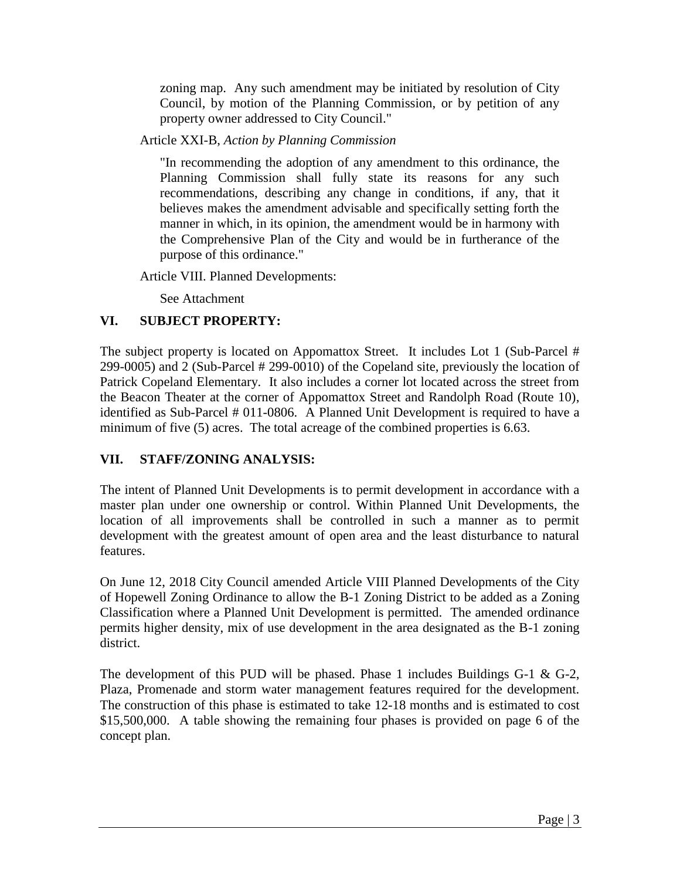zoning map. Any such amendment may be initiated by resolution of City Council, by motion of the Planning Commission, or by petition of any property owner addressed to City Council."

Article XXI-B, *Action by Planning Commission*

"In recommending the adoption of any amendment to this ordinance, the Planning Commission shall fully state its reasons for any such recommendations, describing any change in conditions, if any, that it believes makes the amendment advisable and specifically setting forth the manner in which, in its opinion, the amendment would be in harmony with the Comprehensive Plan of the City and would be in furtherance of the purpose of this ordinance."

Article VIII. Planned Developments:

See Attachment

# **VI. SUBJECT PROPERTY:**

The subject property is located on Appomattox Street. It includes Lot 1 (Sub-Parcel # 299-0005) and 2 (Sub-Parcel # 299-0010) of the Copeland site, previously the location of Patrick Copeland Elementary. It also includes a corner lot located across the street from the Beacon Theater at the corner of Appomattox Street and Randolph Road (Route 10), identified as Sub-Parcel # 011-0806. A Planned Unit Development is required to have a minimum of five (5) acres. The total acreage of the combined properties is 6.63.

# **VII. STAFF/ZONING ANALYSIS:**

The intent of Planned Unit Developments is to permit development in accordance with a master plan under one ownership or control. Within Planned Unit Developments, the location of all improvements shall be controlled in such a manner as to permit development with the greatest amount of open area and the least disturbance to natural features.

On June 12, 2018 City Council amended Article VIII Planned Developments of the City of Hopewell Zoning Ordinance to allow the B-1 Zoning District to be added as a Zoning Classification where a Planned Unit Development is permitted. The amended ordinance permits higher density, mix of use development in the area designated as the B-1 zoning district.

The development of this PUD will be phased. Phase 1 includes Buildings  $G-1 \& G-2$ , Plaza, Promenade and storm water management features required for the development. The construction of this phase is estimated to take 12-18 months and is estimated to cost \$15,500,000. A table showing the remaining four phases is provided on page 6 of the concept plan.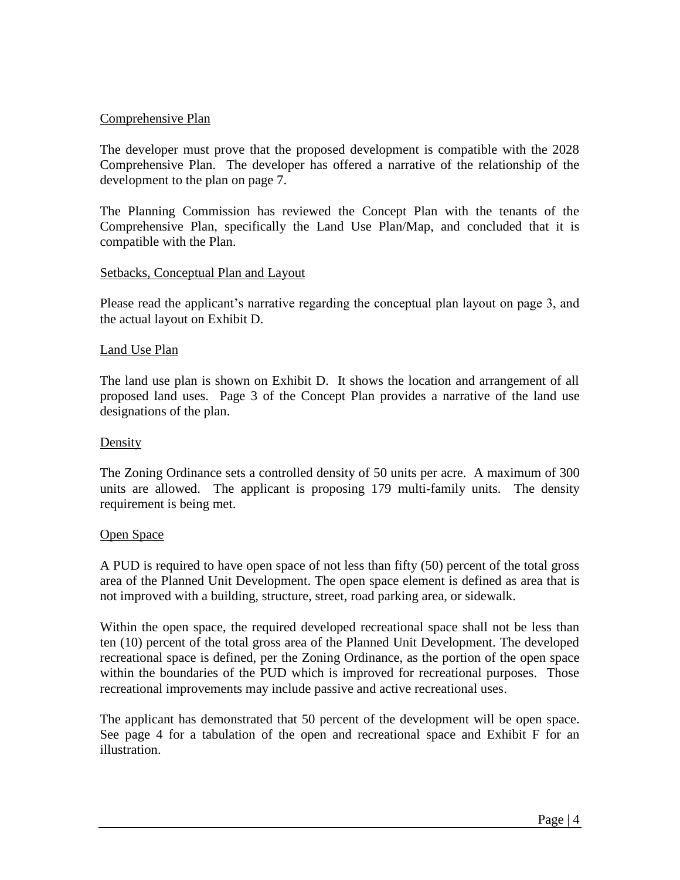#### Comprehensive Plan

The developer must prove that the proposed development is compatible with the 2028 Comprehensive Plan. The developer has offered a narrative of the relationship of the development to the plan on page 7.

The Planning Commission has reviewed the Concept Plan with the tenants of the Comprehensive Plan, specifically the Land Use Plan/Map, and concluded that it is compatible with the Plan.

#### Setbacks, Conceptual Plan and Layout

Please read the applicant's narrative regarding the conceptual plan layout on page 3, and the actual layout on Exhibit D.

#### Land Use Plan

The land use plan is shown on Exhibit D. It shows the location and arrangement of all proposed land uses. Page 3 of the Concept Plan provides a narrative of the land use designations of the plan.

#### Density

The Zoning Ordinance sets a controlled density of 50 units per acre. A maximum of 300 units are allowed. The applicant is proposing 179 multi-family units. The density requirement is being met.

#### Open Space

A PUD is required to have open space of not less than fifty (50) percent of the total gross area of the Planned Unit Development. The open space element is defined as area that is not improved with a building, structure, street, road parking area, or sidewalk.

Within the open space, the required developed recreational space shall not be less than ten (10) percent of the total gross area of the Planned Unit Development. The developed recreational space is defined, per the Zoning Ordinance, as the portion of the open space within the boundaries of the PUD which is improved for recreational purposes. Those recreational improvements may include passive and active recreational uses.

The applicant has demonstrated that 50 percent of the development will be open space. See page 4 for a tabulation of the open and recreational space and Exhibit F for an illustration.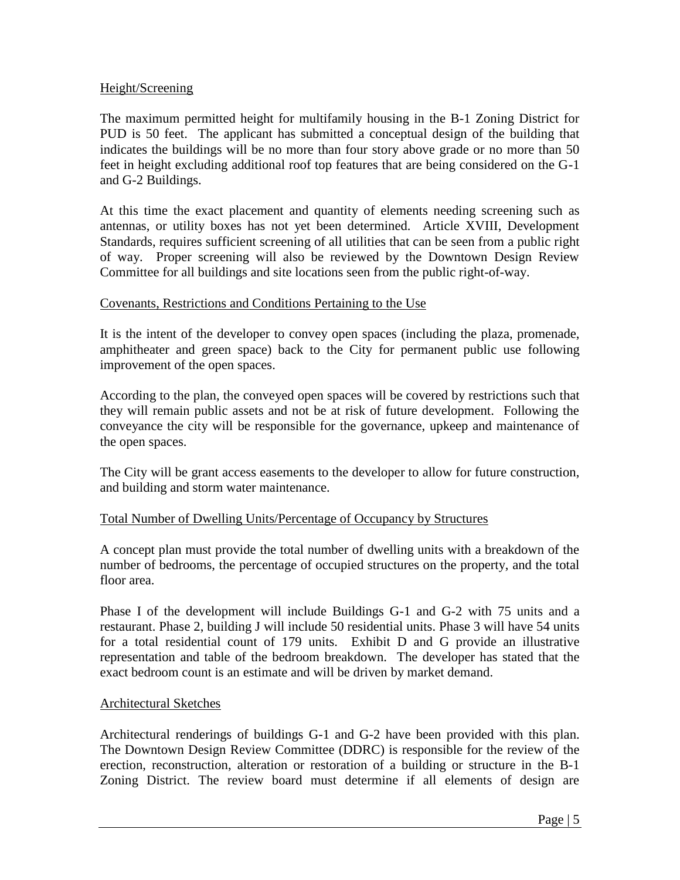### Height/Screening

The maximum permitted height for multifamily housing in the B-1 Zoning District for PUD is 50 feet. The applicant has submitted a conceptual design of the building that indicates the buildings will be no more than four story above grade or no more than 50 feet in height excluding additional roof top features that are being considered on the G-1 and G-2 Buildings.

At this time the exact placement and quantity of elements needing screening such as antennas, or utility boxes has not yet been determined. Article XVIII, Development Standards, requires sufficient screening of all utilities that can be seen from a public right of way. Proper screening will also be reviewed by the Downtown Design Review Committee for all buildings and site locations seen from the public right-of-way.

#### Covenants, Restrictions and Conditions Pertaining to the Use

It is the intent of the developer to convey open spaces (including the plaza, promenade, amphitheater and green space) back to the City for permanent public use following improvement of the open spaces.

According to the plan, the conveyed open spaces will be covered by restrictions such that they will remain public assets and not be at risk of future development. Following the conveyance the city will be responsible for the governance, upkeep and maintenance of the open spaces.

The City will be grant access easements to the developer to allow for future construction, and building and storm water maintenance.

## Total Number of Dwelling Units/Percentage of Occupancy by Structures

A concept plan must provide the total number of dwelling units with a breakdown of the number of bedrooms, the percentage of occupied structures on the property, and the total floor area.

Phase I of the development will include Buildings G-1 and G-2 with 75 units and a restaurant. Phase 2, building J will include 50 residential units. Phase 3 will have 54 units for a total residential count of 179 units. Exhibit D and G provide an illustrative representation and table of the bedroom breakdown. The developer has stated that the exact bedroom count is an estimate and will be driven by market demand.

#### Architectural Sketches

Architectural renderings of buildings G-1 and G-2 have been provided with this plan. The Downtown Design Review Committee (DDRC) is responsible for the review of the erection, reconstruction, alteration or restoration of a building or structure in the B-1 Zoning District. The review board must determine if all elements of design are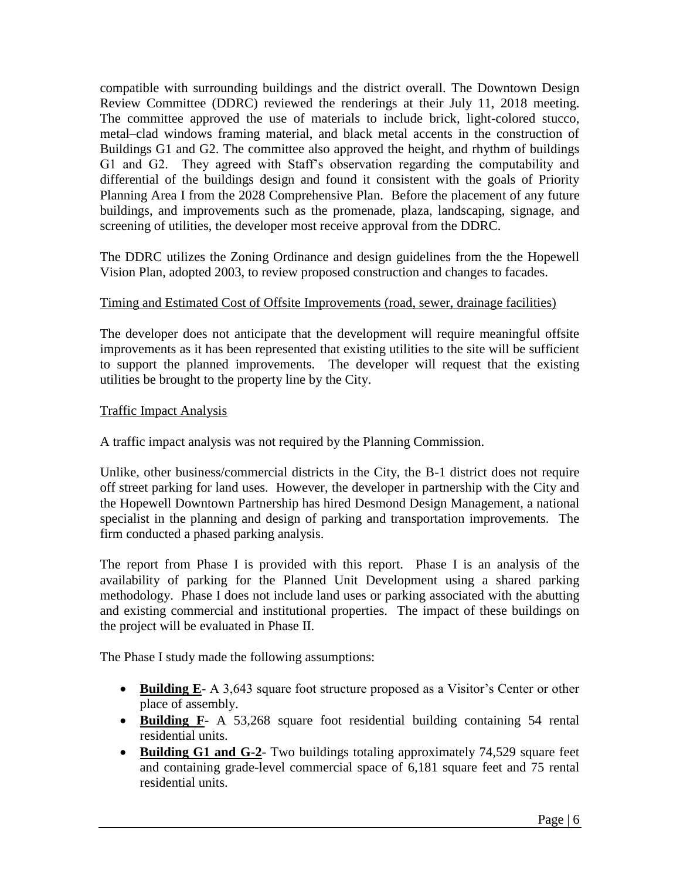compatible with surrounding buildings and the district overall. The Downtown Design Review Committee (DDRC) reviewed the renderings at their July 11, 2018 meeting. The committee approved the use of materials to include brick, light-colored stucco, metal–clad windows framing material, and black metal accents in the construction of Buildings G1 and G2. The committee also approved the height, and rhythm of buildings G1 and G2. They agreed with Staff's observation regarding the computability and differential of the buildings design and found it consistent with the goals of Priority Planning Area I from the 2028 Comprehensive Plan. Before the placement of any future buildings, and improvements such as the promenade, plaza, landscaping, signage, and screening of utilities, the developer most receive approval from the DDRC.

The DDRC utilizes the Zoning Ordinance and design guidelines from the the Hopewell Vision Plan, adopted 2003, to review proposed construction and changes to facades.

## Timing and Estimated Cost of Offsite Improvements (road, sewer, drainage facilities)

The developer does not anticipate that the development will require meaningful offsite improvements as it has been represented that existing utilities to the site will be sufficient to support the planned improvements. The developer will request that the existing utilities be brought to the property line by the City.

## Traffic Impact Analysis

A traffic impact analysis was not required by the Planning Commission.

Unlike, other business/commercial districts in the City, the B-1 district does not require off street parking for land uses. However, the developer in partnership with the City and the Hopewell Downtown Partnership has hired Desmond Design Management, a national specialist in the planning and design of parking and transportation improvements. The firm conducted a phased parking analysis.

The report from Phase I is provided with this report. Phase I is an analysis of the availability of parking for the Planned Unit Development using a shared parking methodology. Phase I does not include land uses or parking associated with the abutting and existing commercial and institutional properties. The impact of these buildings on the project will be evaluated in Phase II.

The Phase I study made the following assumptions:

- **Building E-** A 3,643 square foot structure proposed as a Visitor's Center or other place of assembly.
- **Building F** A 53,268 square foot residential building containing 54 rental residential units.
- **Building G1 and G-2** Two buildings totaling approximately 74,529 square feet and containing grade-level commercial space of 6,181 square feet and 75 rental residential units.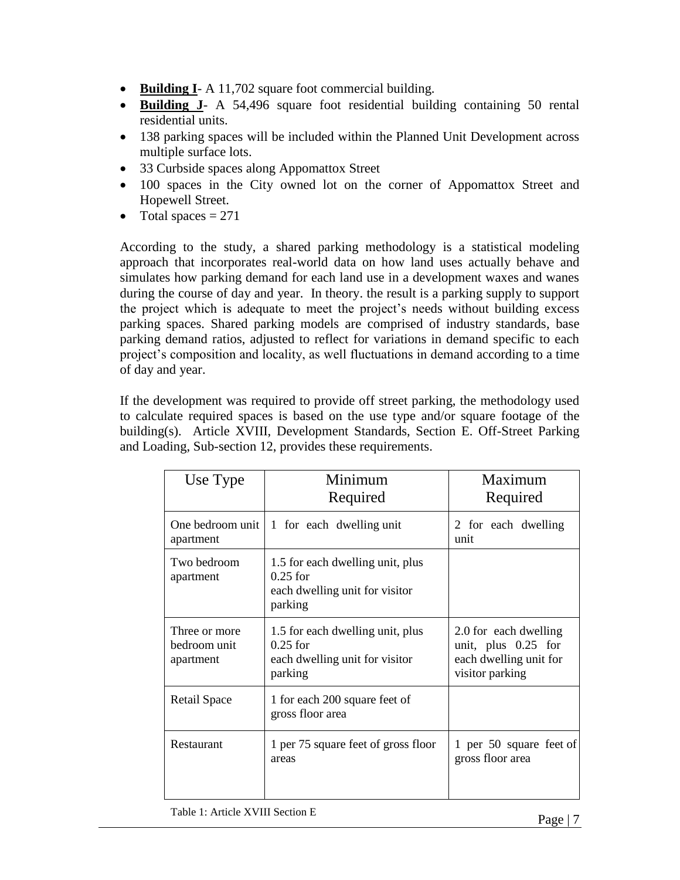- Building I- A 11,702 square foot commercial building.
- **Building J** A 54,496 square foot residential building containing 50 rental residential units.
- 138 parking spaces will be included within the Planned Unit Development across multiple surface lots.
- 33 Curbside spaces along Appomattox Street
- 100 spaces in the City owned lot on the corner of Appomattox Street and Hopewell Street.
- Total spaces  $= 271$

According to the study, a shared parking methodology is a statistical modeling approach that incorporates real-world data on how land uses actually behave and simulates how parking demand for each land use in a development waxes and wanes during the course of day and year. In theory. the result is a parking supply to support the project which is adequate to meet the project's needs without building excess parking spaces. Shared parking models are comprised of industry standards, base parking demand ratios, adjusted to reflect for variations in demand specific to each project's composition and locality, as well fluctuations in demand according to a time of day and year.

If the development was required to provide off street parking, the methodology used to calculate required spaces is based on the use type and/or square footage of the building(s). Article XVIII, Development Standards, Section E. Off-Street Parking and Loading, Sub-section 12, provides these requirements.

| Use Type                                   | Minimum<br>Required                                                                         | Maximum<br>Required                                                                       |
|--------------------------------------------|---------------------------------------------------------------------------------------------|-------------------------------------------------------------------------------------------|
| One bedroom unit<br>apartment              | 1 for each dwelling unit                                                                    | 2 for each dwelling<br>unit                                                               |
| Two bedroom<br>apartment                   | 1.5 for each dwelling unit, plus<br>$0.25$ for<br>each dwelling unit for visitor<br>parking |                                                                                           |
| Three or more<br>bedroom unit<br>apartment | 1.5 for each dwelling unit, plus<br>$0.25$ for<br>each dwelling unit for visitor<br>parking | 2.0 for each dwelling<br>unit, plus 0.25 for<br>each dwelling unit for<br>visitor parking |
| Retail Space                               | 1 for each 200 square feet of<br>gross floor area                                           |                                                                                           |
| Restaurant                                 | 1 per 75 square feet of gross floor<br>areas                                                | 1 per 50 square feet of<br>gross floor area                                               |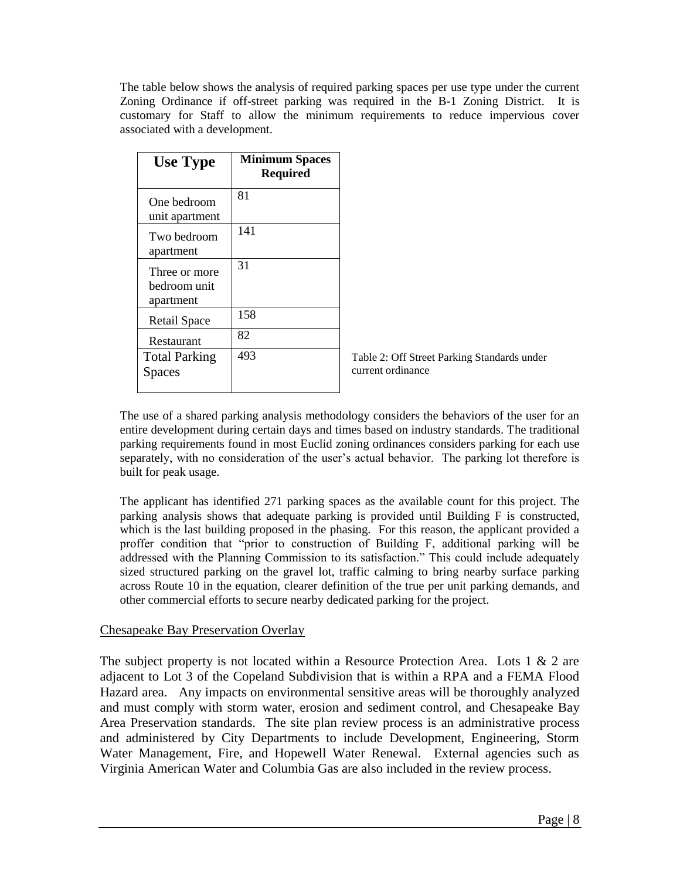The table below shows the analysis of required parking spaces per use type under the current Zoning Ordinance if off-street parking was required in the B-1 Zoning District. It is customary for Staff to allow the minimum requirements to reduce impervious cover associated with a development.

| <b>Use Type</b>                            | <b>Minimum Spaces</b><br><b>Required</b> |                           |
|--------------------------------------------|------------------------------------------|---------------------------|
| One bedroom<br>unit apartment              | 81                                       |                           |
| Two bedroom<br>apartment                   | 141                                      |                           |
| Three or more<br>bedroom unit<br>apartment | 31                                       |                           |
| Retail Space                               | 158                                      |                           |
| Restaurant                                 | 82                                       |                           |
| <b>Total Parking</b><br><b>Spaces</b>      | 493                                      | Table 2: O<br>current ord |

Table 2: Off Street Parking Standards under current ordinance

The use of a shared parking analysis methodology considers the behaviors of the user for an entire development during certain days and times based on industry standards. The traditional parking requirements found in most Euclid zoning ordinances considers parking for each use separately, with no consideration of the user's actual behavior. The parking lot therefore is built for peak usage.

The applicant has identified 271 parking spaces as the available count for this project. The parking analysis shows that adequate parking is provided until Building F is constructed, which is the last building proposed in the phasing. For this reason, the applicant provided a proffer condition that "prior to construction of Building F, additional parking will be addressed with the Planning Commission to its satisfaction." This could include adequately sized structured parking on the gravel lot, traffic calming to bring nearby surface parking across Route 10 in the equation, clearer definition of the true per unit parking demands, and other commercial efforts to secure nearby dedicated parking for the project.

## Chesapeake Bay Preservation Overlay

The subject property is not located within a Resource Protection Area. Lots 1 & 2 are adjacent to Lot 3 of the Copeland Subdivision that is within a RPA and a FEMA Flood Hazard area. Any impacts on environmental sensitive areas will be thoroughly analyzed and must comply with storm water, erosion and sediment control, and Chesapeake Bay Area Preservation standards. The site plan review process is an administrative process and administered by City Departments to include Development, Engineering, Storm Water Management, Fire, and Hopewell Water Renewal. External agencies such as Virginia American Water and Columbia Gas are also included in the review process.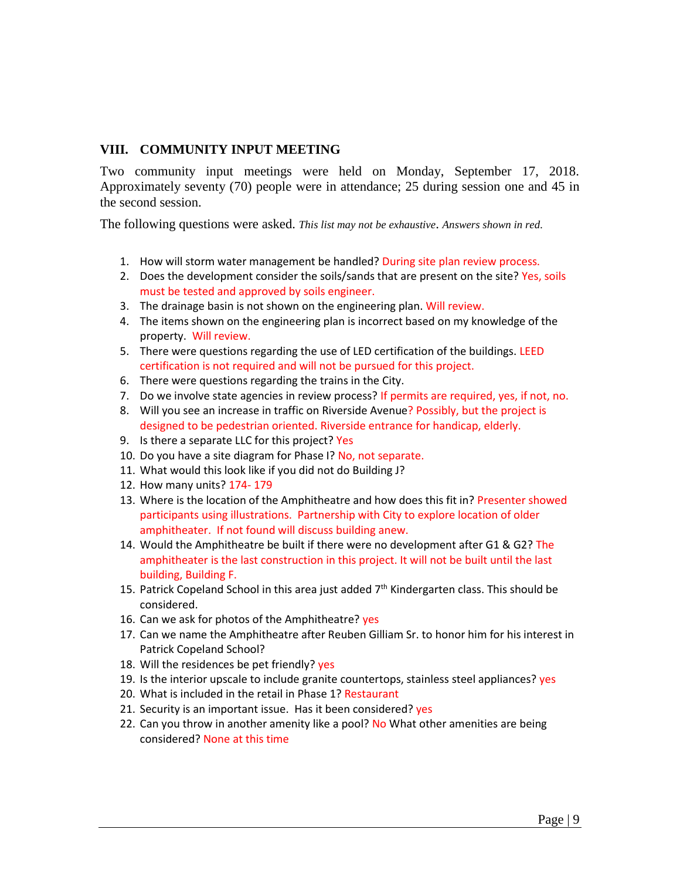## **VIII. COMMUNITY INPUT MEETING**

Two community input meetings were held on Monday, September 17, 2018. Approximately seventy (70) people were in attendance; 25 during session one and 45 in the second session.

The following questions were asked. *This list may not be exhaustive*. *Answers shown in red.*

- 1. How will storm water management be handled? During site plan review process.
- 2. Does the development consider the soils/sands that are present on the site? Yes, soils must be tested and approved by soils engineer.
- 3. The drainage basin is not shown on the engineering plan. Will review.
- 4. The items shown on the engineering plan is incorrect based on my knowledge of the property. Will review.
- 5. There were questions regarding the use of LED certification of the buildings. LEED certification is not required and will not be pursued for this project.
- 6. There were questions regarding the trains in the City.
- 7. Do we involve state agencies in review process? If permits are required, yes, if not, no.
- 8. Will you see an increase in traffic on Riverside Avenue? Possibly, but the project is designed to be pedestrian oriented. Riverside entrance for handicap, elderly.
- 9. Is there a separate LLC for this project? Yes
- 10. Do you have a site diagram for Phase I? No, not separate.
- 11. What would this look like if you did not do Building J?
- 12. How many units? 174- 179
- 13. Where is the location of the Amphitheatre and how does this fit in? Presenter showed participants using illustrations. Partnership with City to explore location of older amphitheater. If not found will discuss building anew.
- 14. Would the Amphitheatre be built if there were no development after G1 & G2? The amphitheater is the last construction in this project. It will not be built until the last building, Building F.
- 15. Patrick Copeland School in this area just added  $7<sup>th</sup>$  Kindergarten class. This should be considered.
- 16. Can we ask for photos of the Amphitheatre? yes
- 17. Can we name the Amphitheatre after Reuben Gilliam Sr. to honor him for his interest in Patrick Copeland School?
- 18. Will the residences be pet friendly? yes
- 19. Is the interior upscale to include granite countertops, stainless steel appliances? yes
- 20. What is included in the retail in Phase 1? Restaurant
- 21. Security is an important issue. Has it been considered? yes
- 22. Can you throw in another amenity like a pool? No What other amenities are being considered? None at this time